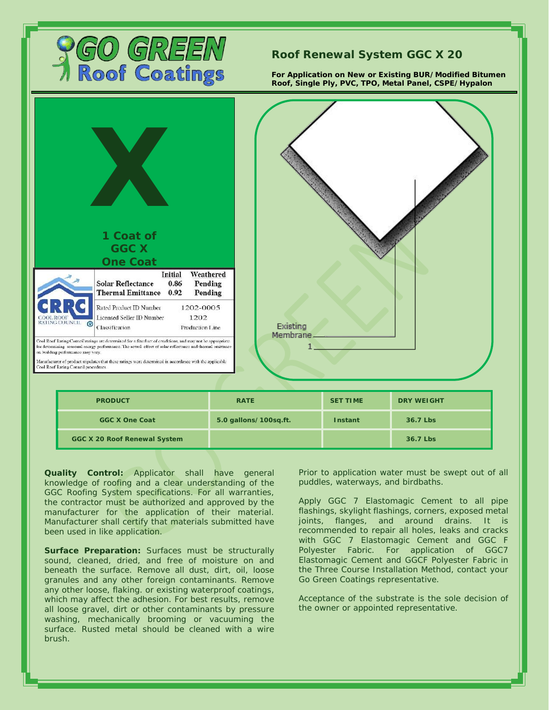

## **Roof Renewal System GGC X 20**

**For Application on New or Existing BUR/Modified Bitumen Roof, Single Ply, PVC, TPO, Metal Panel, CSPE/Hypalon**



**GGC X 20 Roof Renewal System 36.7 Lbs**

**Quality Control:** Applicator shall have general knowledge of roofing and a clear understanding of the GGC Roofing System specifications. For all warranties, the contractor must be authorized and approved by the manufacturer for the application of their material. Manufacturer shall certify that materials submitted have been used in like application.

**Surface Preparation:** Surfaces must be structurally sound, cleaned, dried, and free of moisture on and beneath the surface. Remove all dust, dirt, oil, loose granules and any other foreign contaminants. Remove any other loose, flaking. or existing waterproof coatings, which may affect the adhesion. For best results, remove all loose gravel, dirt or other contaminants by pressure washing, mechanically brooming or vacuuming the surface. Rusted metal should be cleaned with a wire brush.

Prior to application water must be swept out of all puddles, waterways, and birdbaths.

Apply GGC 7 Elastomagic Cement to all pipe flashings, skylight flashings, corners, exposed metal joints, flanges, and around drains. It is recommended to repair all holes, leaks and cracks with GGC 7 Elastomagic Cement and GGC F Polyester Fabric. For application of GGC7 Elastomagic Cement and GGCF Polyester Fabric in the Three Course Installation Method, contact your Go Green Coatings representative.

Acceptance of the substrate is the sole decision of the owner or appointed representative.